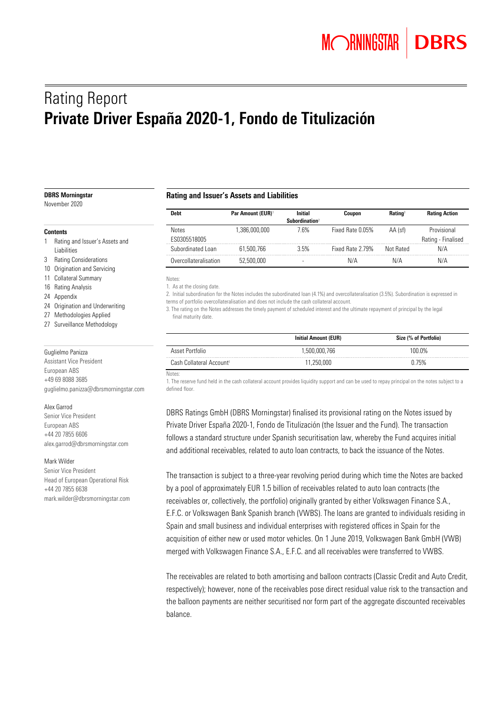# Rating Report Private Driver España 2020-1, Fondo de Titulización

#### DBRS Morningstar

November 2020

#### **Contents**

- 1 Rating and Issuer's Assets and Liabilities
- 3 Rating Considerations
- 10 Origination and Servicing
- 11 Collateral Summary
- 16 Rating Analysis
- 24 Appendix
- 24 Origination and Underwriting
- 27 Methodologies Applied
- 27 Surveillance Methodology

#### Guglielmo Panizza

Assistant Vice President European ABS +49 69 8088 3685 guglielmo.panizza@dbrsmorningstar.com

#### Alex Garrod

Senior Vice President European ABS +44 20 7855 6606 alex.garrod@dbrsmorningstar.com

#### Mark Wilder

Senior Vice President Head of European Operational Risk +44 20 7855 6638 [mark.wilder@dbrsmorningstar.com](mailto:mark.wilder@dbrsmorningstar.com)

#### Rating and Issuer's Assets and Liabilities

| <b>Debt</b>                  | <b>Par Amount (EUR)</b> <sup>1</sup> | <b>Initial</b><br>Subordination <sup>2</sup> | Coupon           | <b>Rating</b> <sup>3</sup> | <b>Rating Action</b>              |
|------------------------------|--------------------------------------|----------------------------------------------|------------------|----------------------------|-----------------------------------|
| <b>Notes</b><br>ES0305518005 | 1.386.000.000                        | 7 6%                                         | Fixed Rate 0.05% | AA (sf)                    | Provisional<br>Rating - Finalised |
| Subordinated Loan            | 61.500.766                           | 3.5%                                         | Fixed Rate 2.79% | Not Rated                  | N/A                               |
| Overcollateralisation        | 52,500,000                           |                                              | N/A              | N/A                        | N/A                               |

Notes:

1. As at the closing date.

2. Initial subordination for the Notes includes the subordinated loan (4.1%) and overcollateralisation (3.5%). Subordination is expressed in terms of portfolio overcollateralisation and does not include the cash collateral account.

3. The rating on the Notes addresses the timely payment of scheduled interest and the ultimate repayment of principal by the legal final maturity date.

|                                      | <b>Initial Amount (EUR)</b> | Size (% of Portfolio) |
|--------------------------------------|-----------------------------|-----------------------|
| Asset Portfolio                      | 1,500,000,766               | 100.0%                |
| Cash Collateral Account <sup>1</sup> | 1.250.000                   | 0.75%                 |

#### Notes:

1. The reserve fund held in the cash collateral account provides liquidity support and can be used to repay principal on the notes subject to a defined floor.

DBRS Ratings GmbH (DBRS Morningstar) finalised its provisional rating on the Notes issued by Private Driver España 2020-1, Fondo de Titulización (the Issuer and the Fund). The transaction follows a standard structure under Spanish securitisation law, whereby the Fund acquires initial and additional receivables, related to auto loan contracts, to back the issuance of the Notes.

The transaction is subject to a three-year revolving period during which time the Notes are backed by a pool of approximately EUR 1.5 billion of receivables related to auto loan contracts (the receivables or, collectively, the portfolio) originally granted by either Volkswagen Finance S.A., E.F.C. or Volkswagen Bank Spanish branch (VWBS). The loans are granted to individuals residing in Spain and small business and individual enterprises with registered offices in Spain for the acquisition of either new or used motor vehicles. On 1 June 2019, Volkswagen Bank GmbH (VWB) merged with Volkswagen Finance S.A., E.F.C. and all receivables were transferred to VWBS.

The receivables are related to both amortising and balloon contracts (Classic Credit and Auto Credit, respectively); however, none of the receivables pose direct residual value risk to the transaction and the balloon payments are neither securitised nor form part of the aggregate discounted receivables balance.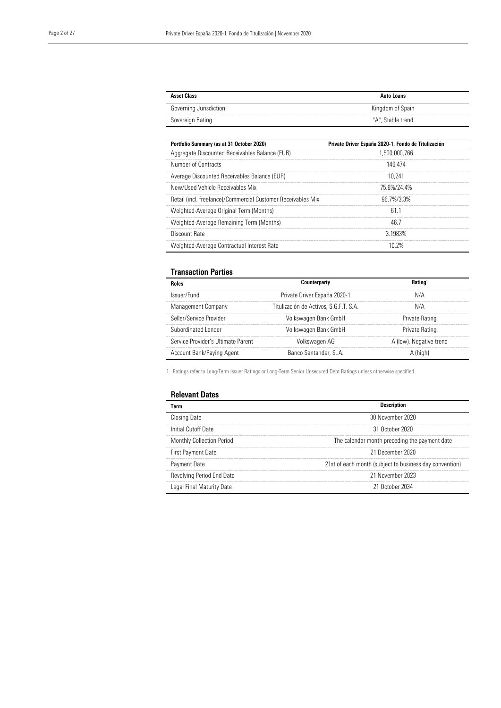| <b>Asset Class</b>     | Auto Loans        |
|------------------------|-------------------|
| Governing Jurisdiction | Kingdom of Spain  |
| Sovereign Rating       | "A", Stable trend |

| Portfolio Summary (as at 31 October 2020)                    | Private Driver España 2020-1, Fondo de Titulización |
|--------------------------------------------------------------|-----------------------------------------------------|
| Aggregate Discounted Receivables Balance (EUR)               | 1.500.000.766                                       |
| Number of Contracts                                          | 146.474                                             |
| Average Discounted Receivables Balance (EUR)                 | 10.241                                              |
| New/Used Vehicle Receivables Mix                             | 75 6%/24 4%                                         |
| Retail (incl. freelance)/Commercial Customer Receivables Mix | $967\frac{1}{3}3\%$                                 |
| Weighted-Average Original Term (Months)                      | 61 1                                                |
| Weighted-Average Remaining Term (Months)                     | 46.7                                                |
| Discount Rate                                                | 3 1983%                                             |
| Weighted-Average Contractual Interest Rate                   |                                                     |

#### Transaction Parties

| Roles                              | Counterparty                           | Ratino                  |
|------------------------------------|----------------------------------------|-------------------------|
| Issuer/Fund                        | Private Driver España 2020-1           | N/A                     |
| Management Company                 | Titulización de Activos, S.G.F.T. S.A. | N/A                     |
| Seller/Service Provider            | Volkswagen Bank GmbH                   | Private Rating          |
| Subordinated Lender                | Volkswagen Bank GmbH                   | Private Rating          |
| Service Provider's Ultimate Parent | Volkswagen AG                          | A (low), Negative trend |
| Account Bank/Paying Agent          | Banco Santander, S., A.                |                         |

1. Ratings refer to Long-Term Issuer Ratings or Long-Term Senior Unsecured Debt Ratings unless otherwise specified.

#### Relevant Dates

| Term                      |                                                         |
|---------------------------|---------------------------------------------------------|
| <b>Closing Date</b>       | 30 November 2020                                        |
| Initial Cutoff Date       | 31 October 2020                                         |
| Monthly Collection Period | The calendar month preceding the payment date           |
| First Payment Date        | 21 December 2020                                        |
| Payment Date              | 21st of each month (subject to business day convention) |
| Revolving Period End Date | 21 November 2023                                        |
| Legal Final Maturity Date | 21 October 2034                                         |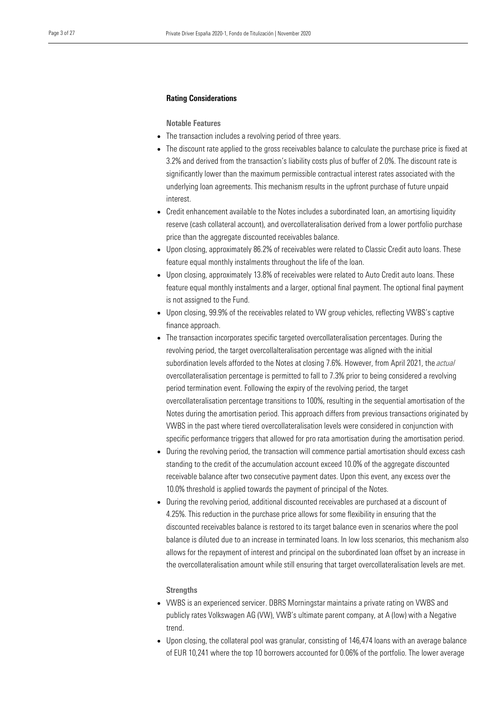#### Rating Considerations

Notable Features

- The transaction includes a revolving period of three years.
- The discount rate applied to the gross receivables balance to calculate the purchase price is fixed at 3.2% and derived from the transaction's liability costs plus of buffer of 2.0%. The discount rate is significantly lower than the maximum permissible contractual interest rates associated with the underlying loan agreements. This mechanism results in the upfront purchase of future unpaid interest.
- Credit enhancement available to the Notes includes a subordinated loan, an amortising liquidity reserve (cash collateral account), and overcollateralisation derived from a lower portfolio purchase price than the aggregate discounted receivables balance.
- Upon closing, approximately 86.2% of receivables were related to Classic Credit auto loans. These feature equal monthly instalments throughout the life of the loan.
- Upon closing, approximately 13.8% of receivables were related to Auto Credit auto loans. These feature equal monthly instalments and a larger, optional final payment. The optional final payment is not assigned to the Fund.
- Upon closing, 99.9% of the receivables related to VW group vehicles, reflecting VWBS's captive finance approach.
- The transaction incorporates specific targeted overcollateralisation percentages. During the revolving period, the target overcollalteralisation percentage was aligned with the initial subordination levels afforded to the Notes at closing 7.6%. However, from April 2021, the *actual* overcollateralisation percentage is permitted to fall to 7.3% prior to being considered a revolving period termination event. Following the expiry of the revolving period, the target overcollateralisation percentage transitions to 100%, resulting in the sequential amortisation of the Notes during the amortisation period. This approach differs from previous transactions originated by VWBS in the past where tiered overcollateralisation levels were considered in conjunction with specific performance triggers that allowed for pro rata amortisation during the amortisation period.
- During the revolving period, the transaction will commence partial amortisation should excess cash standing to the credit of the accumulation account exceed 10.0% of the aggregate discounted receivable balance after two consecutive payment dates. Upon this event, any excess over the 10.0% threshold is applied towards the payment of principal of the Notes.
- During the revolving period, additional discounted receivables are purchased at a discount of 4.25%. This reduction in the purchase price allows for some flexibility in ensuring that the discounted receivables balance is restored to its target balance even in scenarios where the pool balance is diluted due to an increase in terminated loans. In low loss scenarios, this mechanism also allows for the repayment of interest and principal on the subordinated loan offset by an increase in the overcollateralisation amount while still ensuring that target overcollateralisation levels are met.

#### **Strengths**

- VWBS is an experienced servicer. DBRS Morningstar maintains a private rating on VWBS and publicly rates Volkswagen AG (VW), VWB's ultimate parent company, at A (low) with a Negative trend.
- Upon closing, the collateral pool was granular, consisting of 146,474 loans with an average balance of EUR 10,241 where the top 10 borrowers accounted for 0.06% of the portfolio. The lower average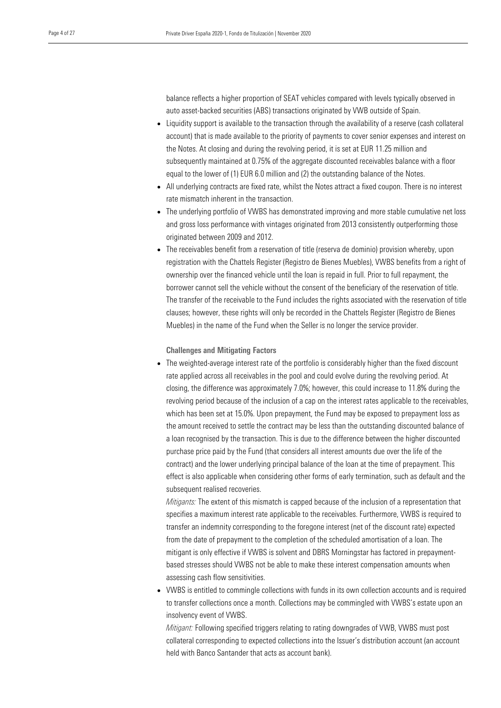balance reflects a higher proportion of SEAT vehicles compared with levels typically observed in auto asset-backed securities (ABS) transactions originated by VWB outside of Spain.

- Liquidity support is available to the transaction through the availability of a reserve (cash collateral account) that is made available to the priority of payments to cover senior expenses and interest on the Notes. At closing and during the revolving period, it is set at EUR 11.25 million and subsequently maintained at 0.75% of the aggregate discounted receivables balance with a floor equal to the lower of (1) EUR 6.0 million and (2) the outstanding balance of the Notes.
- All underlying contracts are fixed rate, whilst the Notes attract a fixed coupon. There is no interest rate mismatch inherent in the transaction.
- The underlying portfolio of VWBS has demonstrated improving and more stable cumulative net loss and gross loss performance with vintages originated from 2013 consistently outperforming those originated between 2009 and 2012.
- The receivables benefit from a reservation of title (reserva de dominio) provision whereby, upon registration with the Chattels Register (Registro de Bienes Muebles), VWBS benefits from a right of ownership over the financed vehicle until the loan is repaid in full. Prior to full repayment, the borrower cannot sell the vehicle without the consent of the beneficiary of the reservation of title. The transfer of the receivable to the Fund includes the rights associated with the reservation of title clauses; however, these rights will only be recorded in the Chattels Register (Registro de Bienes Muebles) in the name of the Fund when the Seller is no longer the service provider.

#### Challenges and Mitigating Factors

• The weighted-average interest rate of the portfolio is considerably higher than the fixed discount rate applied across all receivables in the pool and could evolve during the revolving period. At closing, the difference was approximately 7.0%; however, this could increase to 11.8% during the revolving period because of the inclusion of a cap on the interest rates applicable to the receivables, which has been set at 15.0%. Upon prepayment, the Fund may be exposed to prepayment loss as the amount received to settle the contract may be less than the outstanding discounted balance of a loan recognised by the transaction. This is due to the difference between the higher discounted purchase price paid by the Fund (that considers all interest amounts due over the life of the contract) and the lower underlying principal balance of the loan at the time of prepayment. This effect is also applicable when considering other forms of early termination, such as default and the subsequent realised recoveries.

*Mitigants:* The extent of this mismatch is capped because of the inclusion of a representation that specifies a maximum interest rate applicable to the receivables. Furthermore, VWBS is required to transfer an indemnity corresponding to the foregone interest (net of the discount rate) expected from the date of prepayment to the completion of the scheduled amortisation of a loan. The mitigant is only effective if VWBS is solvent and DBRS Morningstar has factored in prepaymentbased stresses should VWBS not be able to make these interest compensation amounts when assessing cash flow sensitivities.

• VWBS is entitled to commingle collections with funds in its own collection accounts and is required to transfer collections once a month. Collections may be commingled with VWBS's estate upon an insolvency event of VWBS.

*Mitigant:* Following specified triggers relating to rating downgrades of VWB, VWBS must post collateral corresponding to expected collections into the Issuer's distribution account (an account held with Banco Santander that acts as account bank).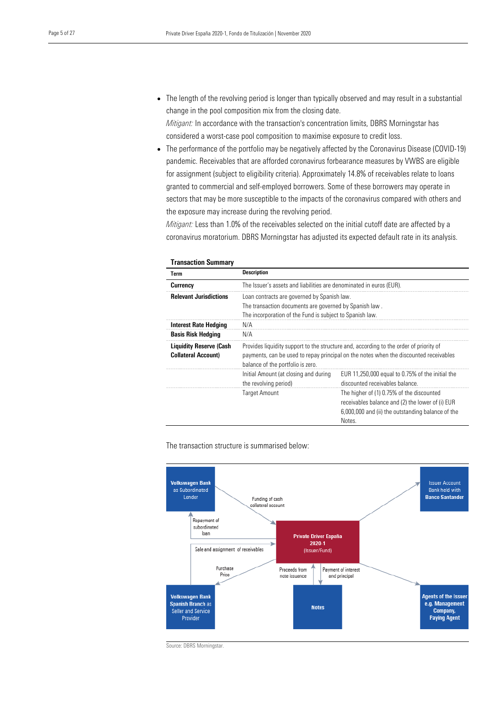• The length of the revolving period is longer than typically observed and may result in a substantial change in the pool composition mix from the closing date.

*Mitigant:* In accordance with the transaction's concentration limits, DBRS Morningstar has considered a worst-case pool composition to maximise exposure to credit loss.

• The performance of the portfolio may be negatively affected by the Coronavirus Disease (COVID-19) pandemic. Receivables that are afforded coronavirus forbearance measures by VWBS are eligible for assignment (subject to eligibility criteria). Approximately 14.8% of receivables relate to loans granted to commercial and self-employed borrowers. Some of these borrowers may operate in sectors that may be more susceptible to the impacts of the coronavirus compared with others and the exposure may increase during the revolving period.

*Mitigant:* Less than 1.0% of the receivables selected on the initial cutoff date are affected by a coronavirus moratorium. DBRS Morningstar has adjusted its expected default rate in its analysis.

| <b>Transaction Summary</b>                                   |                                                                                                                                                                                                                      |                                                                                                                                                              |
|--------------------------------------------------------------|----------------------------------------------------------------------------------------------------------------------------------------------------------------------------------------------------------------------|--------------------------------------------------------------------------------------------------------------------------------------------------------------|
| Term                                                         | <b>Description</b>                                                                                                                                                                                                   |                                                                                                                                                              |
| Currency                                                     | The Issuer's assets and liabilities are denominated in euros (EUR).                                                                                                                                                  |                                                                                                                                                              |
| <b>Relevant Jurisdictions</b>                                | Loan contracts are governed by Spanish law.                                                                                                                                                                          |                                                                                                                                                              |
|                                                              | The transaction documents are governed by Spanish law.                                                                                                                                                               |                                                                                                                                                              |
|                                                              | The incorporation of the Fund is subject to Spanish law.                                                                                                                                                             |                                                                                                                                                              |
| <b>Interest Rate Hedging</b>                                 | N/A                                                                                                                                                                                                                  |                                                                                                                                                              |
| <b>Basis Risk Hedging</b>                                    | N/A                                                                                                                                                                                                                  |                                                                                                                                                              |
| <b>Liquidity Reserve (Cash</b><br><b>Collateral Account)</b> | Provides liquidity support to the structure and, according to the order of priority of<br>payments, can be used to repay principal on the notes when the discounted receivables<br>balance of the portfolio is zero. |                                                                                                                                                              |
|                                                              | Initial Amount (at closing and during<br>the revolving period)                                                                                                                                                       | EUR 11,250,000 equal to 0.75% of the initial the<br>discounted receivables balance.                                                                          |
|                                                              | <b>Target Amount</b>                                                                                                                                                                                                 | The higher of (1) 0.75% of the discounted<br>receivables balance and (2) the lower of (i) EUR<br>6,000,000 and (ii) the outstanding balance of the<br>Notes. |

The transaction structure is summarised below:



Source: DBRS Morningstar.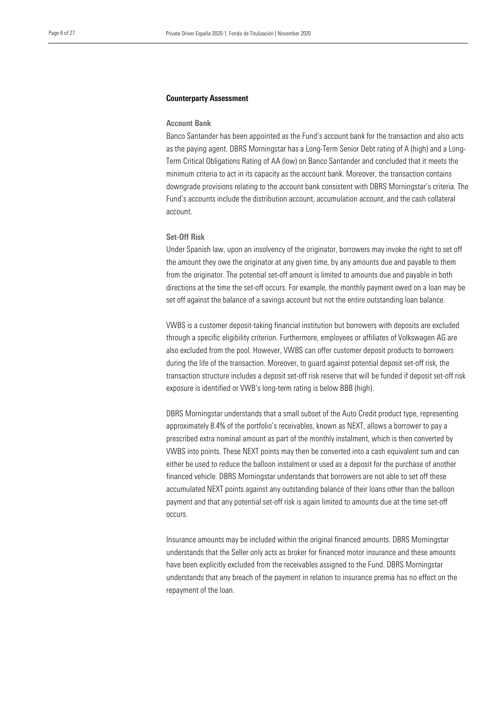#### Counterparty Assessment

#### Account Bank

Banco Santander has been appointed as the Fund's account bank for the transaction and also acts as the paying agent. DBRS Morningstar has a Long-Term Senior Debt rating of A (high) and a Long-Term Critical Obligations Rating of AA (low) on Banco Santander and concluded that it meets the minimum criteria to act in its capacity as the account bank. Moreover, the transaction contains downgrade provisions relating to the account bank consistent with DBRS Morningstar's criteria. The Fund's accounts include the distribution account, accumulation account, and the cash collateral account.

#### Set-Off Risk

Under Spanish law, upon an insolvency of the originator, borrowers may invoke the right to set off the amount they owe the originator at any given time, by any amounts due and payable to them from the originator. The potential set-off amount is limited to amounts due and payable in both directions at the time the set-off occurs. For example, the monthly payment owed on a loan may be set off against the balance of a savings account but not the entire outstanding loan balance.

VWBS is a customer deposit-taking financial institution but borrowers with deposits are excluded through a specific eligibility criterion. Furthermore, employees or affiliates of Volkswagen AG are also excluded from the pool. However, VWBS can offer customer deposit products to borrowers during the life of the transaction. Moreover, to guard against potential deposit set-off risk, the transaction structure includes a deposit set-off risk reserve that will be funded if deposit set-off risk exposure is identified or VWB's long-term rating is below BBB (high).

DBRS Morningstar understands that a small subset of the Auto Credit product type, representing approximately 8.4% of the portfolio's receivables, known as NEXT, allows a borrower to pay a prescribed extra nominal amount as part of the monthly instalment, which is then converted by VWBS into points. These NEXT points may then be converted into a cash equivalent sum and can either be used to reduce the balloon instalment or used as a deposit for the purchase of another financed vehicle. DBRS Morningstar understands that borrowers are not able to set off these accumulated NEXT points against any outstanding balance of their loans other than the balloon payment and that any potential set-off risk is again limited to amounts due at the time set-off occurs.

Insurance amounts may be included within the original financed amounts. DBRS Morningstar understands that the Seller only acts as broker for financed motor insurance and these amounts have been explicitly excluded from the receivables assigned to the Fund. DBRS Morningstar understands that any breach of the payment in relation to insurance premia has no effect on the repayment of the loan.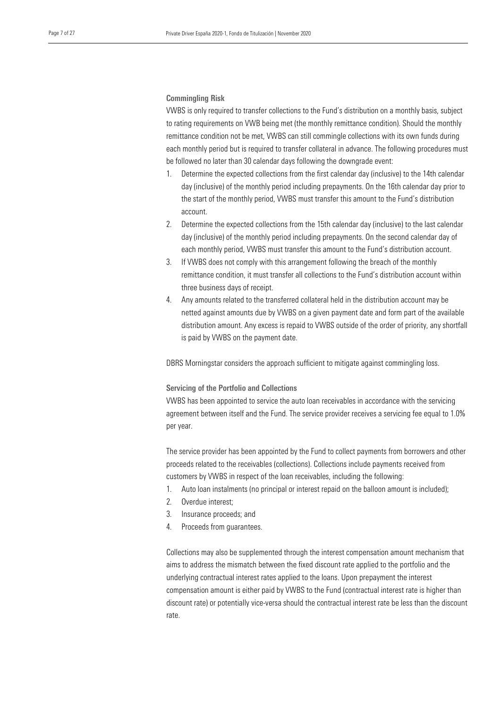#### Commingling Risk

VWBS is only required to transfer collections to the Fund's distribution on a monthly basis, subject to rating requirements on VWB being met (the monthly remittance condition). Should the monthly remittance condition not be met, VWBS can still commingle collections with its own funds during each monthly period but is required to transfer collateral in advance. The following procedures must be followed no later than 30 calendar days following the downgrade event:

- 1. Determine the expected collections from the first calendar day (inclusive) to the 14th calendar day (inclusive) of the monthly period including prepayments. On the 16th calendar day prior to the start of the monthly period, VWBS must transfer this amount to the Fund's distribution account.
- 2. Determine the expected collections from the 15th calendar day (inclusive) to the last calendar day (inclusive) of the monthly period including prepayments. On the second calendar day of each monthly period, VWBS must transfer this amount to the Fund's distribution account.
- 3. If VWBS does not comply with this arrangement following the breach of the monthly remittance condition, it must transfer all collections to the Fund's distribution account within three business days of receipt.
- 4. Any amounts related to the transferred collateral held in the distribution account may be netted against amounts due by VWBS on a given payment date and form part of the available distribution amount. Any excess is repaid to VWBS outside of the order of priority, any shortfall is paid by VWBS on the payment date.

DBRS Morningstar considers the approach sufficient to mitigate against commingling loss.

#### Servicing of the Portfolio and Collections

VWBS has been appointed to service the auto loan receivables in accordance with the servicing agreement between itself and the Fund. The service provider receives a servicing fee equal to 1.0% per year.

The service provider has been appointed by the Fund to collect payments from borrowers and other proceeds related to the receivables (collections). Collections include payments received from customers by VWBS in respect of the loan receivables, including the following:

- 1. Auto loan instalments (no principal or interest repaid on the balloon amount is included);
- 2. Overdue interest;
- 3. Insurance proceeds; and
- 4. Proceeds from guarantees.

Collections may also be supplemented through the interest compensation amount mechanism that aims to address the mismatch between the fixed discount rate applied to the portfolio and the underlying contractual interest rates applied to the loans. Upon prepayment the interest compensation amount is either paid by VWBS to the Fund (contractual interest rate is higher than discount rate) or potentially vice-versa should the contractual interest rate be less than the discount rate.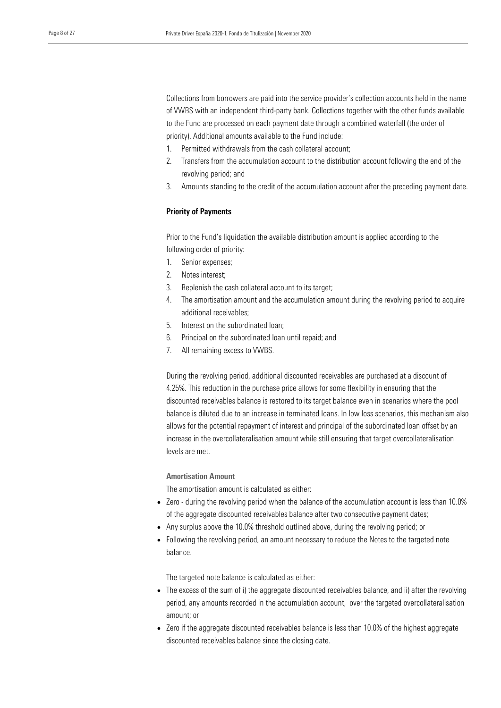Collections from borrowers are paid into the service provider's collection accounts held in the name of VWBS with an independent third-party bank. Collections together with the other funds available to the Fund are processed on each payment date through a combined waterfall (the order of priority). Additional amounts available to the Fund include:

- 1. Permitted withdrawals from the cash collateral account;
- 2. Transfers from the accumulation account to the distribution account following the end of the revolving period; and
- 3. Amounts standing to the credit of the accumulation account after the preceding payment date.

#### Priority of Payments

Prior to the Fund's liquidation the available distribution amount is applied according to the following order of priority:

- 1. Senior expenses;
- 2. Notes interest;
- 3. Replenish the cash collateral account to its target;
- 4. The amortisation amount and the accumulation amount during the revolving period to acquire additional receivables;
- 5. Interest on the subordinated loan;
- 6. Principal on the subordinated loan until repaid; and
- 7. All remaining excess to VWBS.

During the revolving period, additional discounted receivables are purchased at a discount of 4.25%. This reduction in the purchase price allows for some flexibility in ensuring that the discounted receivables balance is restored to its target balance even in scenarios where the pool balance is diluted due to an increase in terminated loans. In low loss scenarios, this mechanism also allows for the potential repayment of interest and principal of the subordinated loan offset by an increase in the overcollateralisation amount while still ensuring that target overcollateralisation levels are met.

#### Amortisation Amount

The amortisation amount is calculated as either:

- Zero during the revolving period when the balance of the accumulation account is less than 10.0% of the aggregate discounted receivables balance after two consecutive payment dates;
- Any surplus above the 10.0% threshold outlined above, during the revolving period; or
- Following the revolving period, an amount necessary to reduce the Notes to the targeted note balance.

The targeted note balance is calculated as either:

- The excess of the sum of i) the aggregate discounted receivables balance, and ii) after the revolving period, any amounts recorded in the accumulation account, over the targeted overcollateralisation amount; or
- Zero if the aggregate discounted receivables balance is less than 10.0% of the highest aggregate discounted receivables balance since the closing date.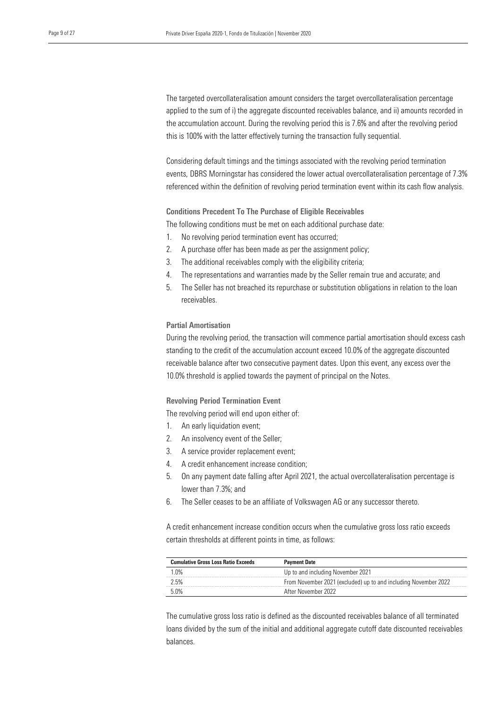The targeted overcollateralisation amount considers the target overcollateralisation percentage applied to the sum of i) the aggregate discounted receivables balance, and ii) amounts recorded in the accumulation account. During the revolving period this is 7.6% and after the revolving period this is 100% with the latter effectively turning the transaction fully sequential.

Considering default timings and the timings associated with the revolving period termination events, DBRS Morningstar has considered the lower actual overcollateralisation percentage of 7.3% referenced within the definition of revolving period termination event within its cash flow analysis.

Conditions Precedent To The Purchase of Eligible Receivables

The following conditions must be met on each additional purchase date:

- 1. No revolving period termination event has occurred;
- 2. A purchase offer has been made as per the assignment policy;
- 3. The additional receivables comply with the eligibility criteria;
- 4. The representations and warranties made by the Seller remain true and accurate; and
- 5. The Seller has not breached its repurchase or substitution obligations in relation to the loan receivables.

#### Partial Amortisation

During the revolving period, the transaction will commence partial amortisation should excess cash standing to the credit of the accumulation account exceed 10.0% of the aggregate discounted receivable balance after two consecutive payment dates. Upon this event, any excess over the 10.0% threshold is applied towards the payment of principal on the Notes.

#### Revolving Period Termination Event

The revolving period will end upon either of:

- 1. An early liquidation event;
- 2. An insolvency event of the Seller;
- 3. A service provider replacement event;
- 4. A credit enhancement increase condition;
- 5. On any payment date falling after April 2021, the actual overcollateralisation percentage is lower than 7.3%; and
- 6. The Seller ceases to be an affiliate of Volkswagen AG or any successor thereto.

A credit enhancement increase condition occurs when the cumulative gross loss ratio exceeds certain thresholds at different points in time, as follows:

| <b>Cumulative Gross Loss Ratio Exceeds</b> | <b>Payment Date</b>                                             |
|--------------------------------------------|-----------------------------------------------------------------|
| 1 በ%                                       | Up to and including November 2021                               |
| 2.5%                                       | From November 2021 (excluded) up to and including November 2022 |
| 5.0%                                       | After November 2022                                             |

The cumulative gross loss ratio is defined as the discounted receivables balance of all terminated loans divided by the sum of the initial and additional aggregate cutoff date discounted receivables balances.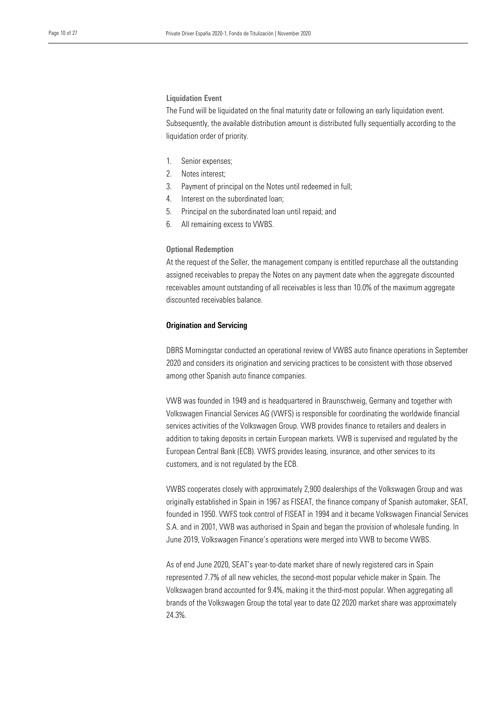#### Liquidation Event

The Fund will be liquidated on the final maturity date or following an early liquidation event. Subsequently, the available distribution amount is distributed fully sequentially according to the liquidation order of priority.

- 1. Senior expenses;
- 2. Notes interest;
- 3. Payment of principal on the Notes until redeemed in full;
- 4. Interest on the subordinated loan;
- 5. Principal on the subordinated loan until repaid; and
- 6. All remaining excess to VWBS.

#### Optional Redemption

At the request of the Seller, the management company is entitled repurchase all the outstanding assigned receivables to prepay the Notes on any payment date when the aggregate discounted receivables amount outstanding of all receivables is less than 10.0% of the maximum aggregate discounted receivables balance.

#### Origination and Servicing

DBRS Morningstar conducted an operational review of VWBS auto finance operations in September 2020 and considers its origination and servicing practices to be consistent with those observed among other Spanish auto finance companies.

VWB was founded in 1949 and is headquartered in Braunschweig, Germany and together with Volkswagen Financial Services AG (VWFS) is responsible for coordinating the worldwide financial services activities of the Volkswagen Group. VWB provides finance to retailers and dealers in addition to taking deposits in certain European markets. VWB is supervised and regulated by the European Central Bank (ECB). VWFS provides leasing, insurance, and other services to its customers, and is not regulated by the ECB.

VWBS cooperates closely with approximately 2,900 dealerships of the Volkswagen Group and was originally established in Spain in 1967 as FISEAT, the finance company of Spanish automaker, SEAT, founded in 1950. VWFS took control of FISEAT in 1994 and it became Volkswagen Financial Services S.A. and in 2001, VWB was authorised in Spain and began the provision of wholesale funding. In June 2019, Volkswagen Finance's operations were merged into VWB to become VWBS.

As of end June 2020, SEAT's year-to-date market share of newly registered cars in Spain represented 7.7% of all new vehicles, the second-most popular vehicle maker in Spain. The Volkswagen brand accounted for 9.4%, making it the third-most popular. When aggregating all brands of the Volkswagen Group the total year to date Q2 2020 market share was approximately 24.3%.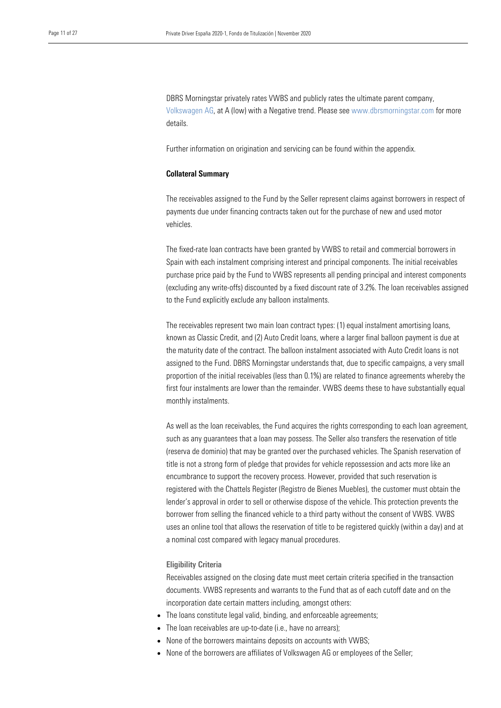DBRS Morningstar privately rates VWBS and publicly rates the ultimate parent company, [Volkswagen AG,](https://www.dbrsmorningstar.com/issuers/843) at A (low) with a Negative trend. Please see [www.dbrsmorningstar.com](http://www.dbrsmorningstar.com/) for more details.

Further information on origination and servicing can be found within the appendix.

#### Collateral Summary

The receivables assigned to the Fund by the Seller represent claims against borrowers in respect of payments due under financing contracts taken out for the purchase of new and used motor vehicles.

The fixed-rate loan contracts have been granted by VWBS to retail and commercial borrowers in Spain with each instalment comprising interest and principal components. The initial receivables purchase price paid by the Fund to VWBS represents all pending principal and interest components (excluding any write-offs) discounted by a fixed discount rate of 3.2%. The loan receivables assigned to the Fund explicitly exclude any balloon instalments.

The receivables represent two main loan contract types: (1) equal instalment amortising loans, known as Classic Credit, and (2) Auto Credit loans, where a larger final balloon payment is due at the maturity date of the contract. The balloon instalment associated with Auto Credit loans is not assigned to the Fund. DBRS Morningstar understands that, due to specific campaigns, a very small proportion of the initial receivables (less than 0.1%) are related to finance agreements whereby the first four instalments are lower than the remainder. VWBS deems these to have substantially equal monthly instalments.

As well as the loan receivables, the Fund acquires the rights corresponding to each loan agreement, such as any guarantees that a loan may possess. The Seller also transfers the reservation of title (reserva de dominio) that may be granted over the purchased vehicles. The Spanish reservation of title is not a strong form of pledge that provides for vehicle repossession and acts more like an encumbrance to support the recovery process. However, provided that such reservation is registered with the Chattels Register (Registro de Bienes Muebles), the customer must obtain the lender's approval in order to sell or otherwise dispose of the vehicle. This protection prevents the borrower from selling the financed vehicle to a third party without the consent of VWBS. VWBS uses an online tool that allows the reservation of title to be registered quickly (within a day) and at a nominal cost compared with legacy manual procedures.

#### Eligibility Criteria

Receivables assigned on the closing date must meet certain criteria specified in the transaction documents. VWBS represents and warrants to the Fund that as of each cutoff date and on the incorporation date certain matters including, amongst others:

- The loans constitute legal valid, binding, and enforceable agreements;
- The loan receivables are up-to-date (i.e., have no arrears);
- None of the borrowers maintains deposits on accounts with VWBS;
- None of the borrowers are affiliates of Volkswagen AG or employees of the Seller;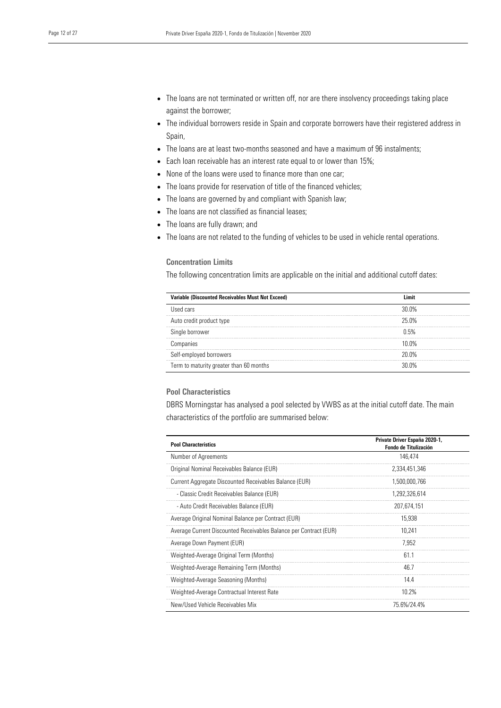- The loans are not terminated or written off, nor are there insolvency proceedings taking place against the borrower;
- The individual borrowers reside in Spain and corporate borrowers have their registered address in Spain,
- The loans are at least two-months seasoned and have a maximum of 96 instalments;
- Each loan receivable has an interest rate equal to or lower than 15%;
- None of the loans were used to finance more than one car;
- The loans provide for reservation of title of the financed vehicles;
- The loans are governed by and compliant with Spanish law;
- The loans are not classified as financial leases;
- The loans are fully drawn; and
- The loans are not related to the funding of vehicles to be used in vehicle rental operations.

#### Concentration Limits

The following concentration limits are applicable on the initial and additional cutoff dates:

| Variable (Discounted Receivables Must Not Exceed) | l imit       |
|---------------------------------------------------|--------------|
| Used cars                                         | $30.0\%$     |
| Auto credit product type                          | 25.0%        |
| Single borrower                                   | 0.5%         |
| Companies                                         | 1በ በ%        |
| Self-employed borrowers                           | <b>20 ሀ%</b> |
| Term to maturity greater than 60 months           | ንሀ ሀዕ\       |

### Pool Characteristics

DBRS Morningstar has analysed a pool selected by VWBS as at the initial cutoff date. The main characteristics of the portfolio are summarised below:

| <b>Pool Characteristics</b>                                       | Private Driver España 2020-1,<br><b>Fondo de Titulización</b> |
|-------------------------------------------------------------------|---------------------------------------------------------------|
| Number of Agreements                                              | 146.474                                                       |
| Original Nominal Receivables Balance (EUR)                        | 2.334.451.346                                                 |
| Current Aggregate Discounted Receivables Balance (EUR)            | 1,500,000,766                                                 |
| - Classic Credit Receivables Balance (EUR)                        | 1,292,326,614                                                 |
| - Auto Credit Receivables Balance (EUR)                           | 207,674,151                                                   |
| Average Original Nominal Balance per Contract (EUR)               | 15,938                                                        |
| Average Current Discounted Receivables Balance per Contract (EUR) | 10,241                                                        |
| Average Down Payment (EUR)                                        | 7,952                                                         |
| Weighted-Average Original Term (Months)                           | 61.1                                                          |
| Weighted-Average Remaining Term (Months)                          | 46.7                                                          |
| Weighted-Average Seasoning (Months)                               | 14.4                                                          |
| Weighted-Average Contractual Interest Rate                        | 10.2%                                                         |
| New/Used Vehicle Receivables Mix                                  | 75.6%/24.4%                                                   |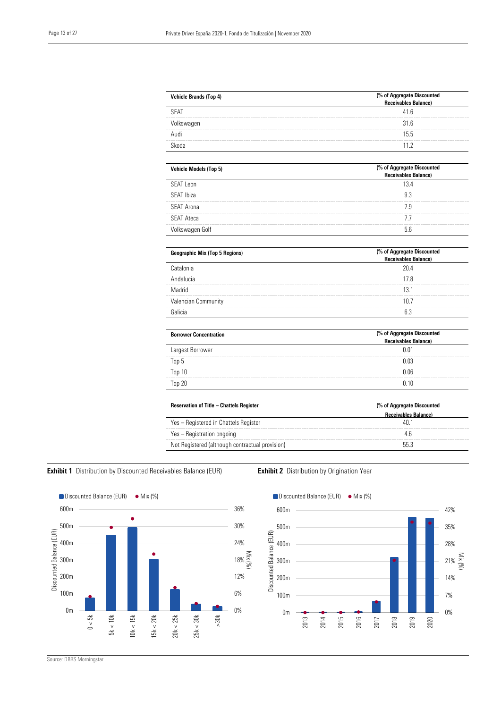| <b>Vehicle Brands (Top 4)</b> | (% of Aggregate Discounted<br>Receivables Balance) |
|-------------------------------|----------------------------------------------------|
| <b>SFAT</b>                   | 41 6                                               |
| Ikswaqen                      | 316                                                |
| Audi                          | 15 <sub>5</sub>                                    |
|                               | 11 2                                               |

| <b>Vehicle Models (Top 5)</b> | (% of Aggregate Discounted<br><b>Receivables Balance)</b> |
|-------------------------------|-----------------------------------------------------------|
| SEAT Leon                     | 134                                                       |
| SEAT Ibiza                    |                                                           |
| SEAT Arona                    |                                                           |
| <b>SEAT Ateca</b>             |                                                           |
| Nkswagen Golf                 |                                                           |

| <b>Geographic Mix (Top 5 Regions)</b> | (% of Aggregate Discounted<br>Receivables Balance) |  |
|---------------------------------------|----------------------------------------------------|--|
| Catalonia                             | 204                                                |  |
| Andalucia                             |                                                    |  |
| Madrid                                | 13 I                                               |  |
| <b>Valencian Community</b>            | Ш.                                                 |  |
|                                       |                                                    |  |

| <b>Borrower Concentration</b> | (% of Aggregate Discounted<br>Receivables Balance) |  |
|-------------------------------|----------------------------------------------------|--|
| Largest Borrower              | 0.01                                               |  |
| Top 5                         | 0.03                                               |  |
| Top 10                        | 0.06                                               |  |
| Top 20                        | በ 1በ                                               |  |

| <b>Reservation of Title - Chattels Register</b> | (% of Aggregate Discounted  |  |
|-------------------------------------------------|-----------------------------|--|
|                                                 | <b>Receivables Balance)</b> |  |
| Yes - Registered in Chattels Register           |                             |  |
| Yes – Registration ongoing                      |                             |  |
| Not Registered (although contractual provision) | 55.3                        |  |

## Exhibit 1 Distribution by Discounted Receivables Balance (EUR) Exhibit 2 Distribution by Origination Year





Source: DBRS Morningstar.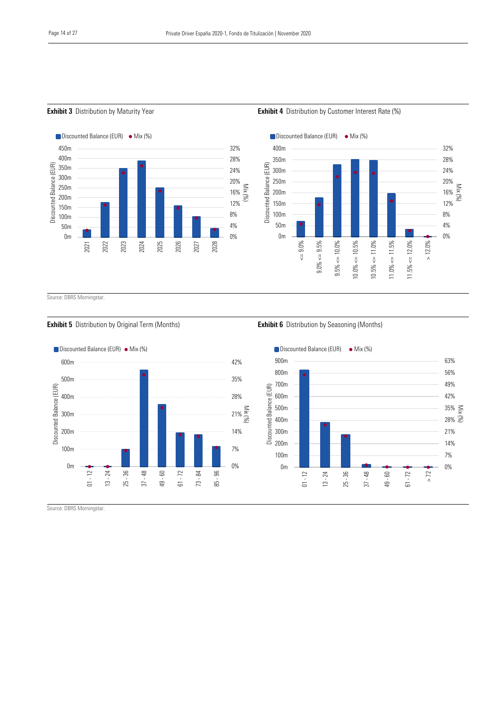0% 4% 8% 12% 16% 20% 24% 28% 32%

Mix (%)







 $\Box$  Discounted Balance (EUR)  $\bullet$  Mix (%)



2021

2022

2023

2024

2025

2026

2027

2028

0m 50m 100m 150m 200m 250m 300m 350m 400m 450m

Discounted Balance (EUR)

Discounted Balance (EUR)

#### **Exhibit 5** Distribution by Original Term (Months) **Exhibit 6** Distribution by Seasoning (Months)





Source: DBRS Morningstar.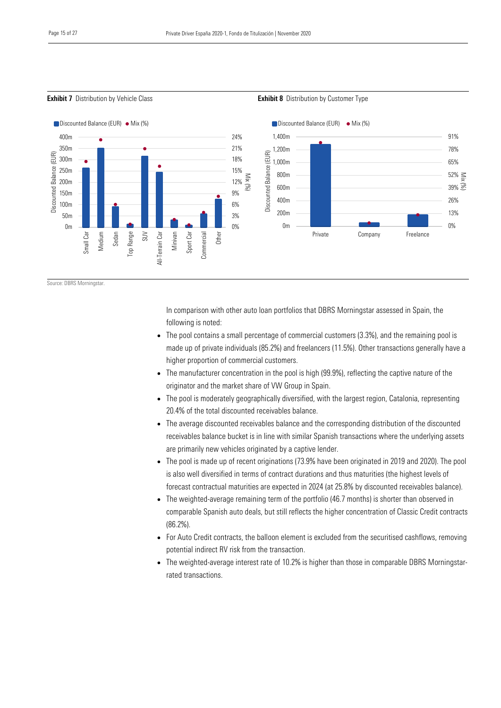**Exhibit 7** Distribution by Vehicle Class **Exhibit 8** Distribution by Customer Type



Source: DBRS Morningstar.

In comparison with other auto loan portfolios that DBRS Morningstar assessed in Spain, the following is noted:

- The pool contains a small percentage of commercial customers (3.3%), and the remaining pool is made up of private individuals (85.2%) and freelancers (11.5%). Other transactions generally have a higher proportion of commercial customers.
- The manufacturer concentration in the pool is high (99.9%), reflecting the captive nature of the originator and the market share of VW Group in Spain.
- The pool is moderately geographically diversified, with the largest region, Catalonia, representing 20.4% of the total discounted receivables balance.
- The average discounted receivables balance and the corresponding distribution of the discounted receivables balance bucket is in line with similar Spanish transactions where the underlying assets are primarily new vehicles originated by a captive lender.
- The pool is made up of recent originations (73.9% have been originated in 2019 and 2020). The pool is also well diversified in terms of contract durations and thus maturities (the highest levels of forecast contractual maturities are expected in 2024 (at 25.8% by discounted receivables balance).
- The weighted-average remaining term of the portfolio (46.7 months) is shorter than observed in comparable Spanish auto deals, but still reflects the higher concentration of Classic Credit contracts (86.2%).
- For Auto Credit contracts, the balloon element is excluded from the securitised cashflows, removing potential indirect RV risk from the transaction.
- The weighted-average interest rate of 10.2% is higher than those in comparable DBRS Morningstarrated transactions.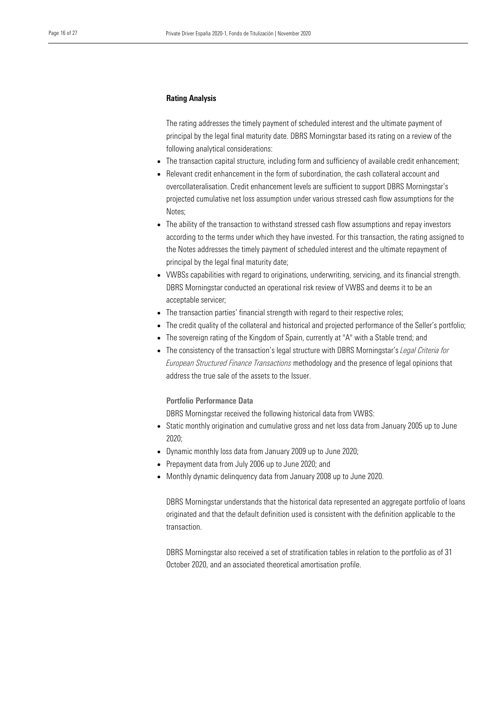#### Rating Analysis

The rating addresses the timely payment of scheduled interest and the ultimate payment of principal by the legal final maturity date. DBRS Morningstar based its rating on a review of the following analytical considerations:

- The transaction capital structure, including form and sufficiency of available credit enhancement;
- Relevant credit enhancement in the form of subordination, the cash collateral account and overcollateralisation. Credit enhancement levels are sufficient to support DBRS Morningstar's projected cumulative net loss assumption under various stressed cash flow assumptions for the Notes;
- The ability of the transaction to withstand stressed cash flow assumptions and repay investors according to the terms under which they have invested. For this transaction, the rating assigned to the Notes addresses the timely payment of scheduled interest and the ultimate repayment of principal by the legal final maturity date;
- VWBSs capabilities with regard to originations, underwriting, servicing, and its financial strength. DBRS Morningstar conducted an operational risk review of VWBS and deems it to be an acceptable servicer;
- The transaction parties' financial strength with regard to their respective roles;
- The credit quality of the collateral and historical and projected performance of the Seller's portfolio;
- The sovereign rating of the Kingdom of Spain, currently at "A" with a Stable trend; and
- The consistency of the transaction's legal structure with DBRS Morningstar's *Legal Criteria for European Structured Finance Transactions* methodology and the presence of legal opinions that address the true sale of the assets to the Issuer.

#### Portfolio Performance Data

DBRS Morningstar received the following historical data from VWBS:

- Static monthly origination and cumulative gross and net loss data from January 2005 up to June 2020;
- Dynamic monthly loss data from January 2009 up to June 2020;
- Prepayment data from July 2006 up to June 2020; and
- Monthly dynamic delinquency data from January 2008 up to June 2020.

DBRS Morningstar understands that the historical data represented an aggregate portfolio of loans originated and that the default definition used is consistent with the definition applicable to the transaction.

DBRS Morningstar also received a set of stratification tables in relation to the portfolio as of 31 October 2020, and an associated theoretical amortisation profile.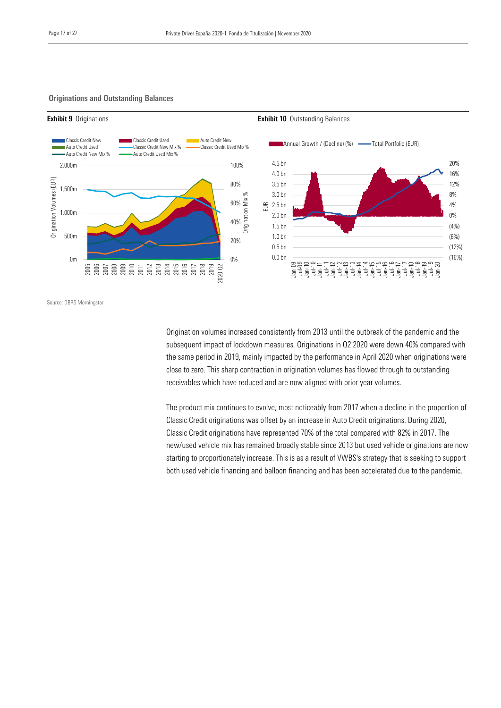#### Originations and Outstanding Balances



Source: DBRS Morningstar.

Origination volumes increased consistently from 2013 until the outbreak of the pandemic and the subsequent impact of lockdown measures. Originations in Q2 2020 were down 40% compared with the same period in 2019, mainly impacted by the performance in April 2020 when originations were close to zero. This sharp contraction in origination volumes has flowed through to outstanding receivables which have reduced and are now aligned with prior year volumes.

The product mix continues to evolve, most noticeably from 2017 when a decline in the proportion of Classic Credit originations was offset by an increase in Auto Credit originations. During 2020, Classic Credit originations have represented 70% of the total compared with 82% in 2017. The new/used vehicle mix has remained broadly stable since 2013 but used vehicle originations are now starting to proportionately increase. This is as a result of VWBS's strategy that is seeking to support both used vehicle financing and balloon financing and has been accelerated due to the pandemic.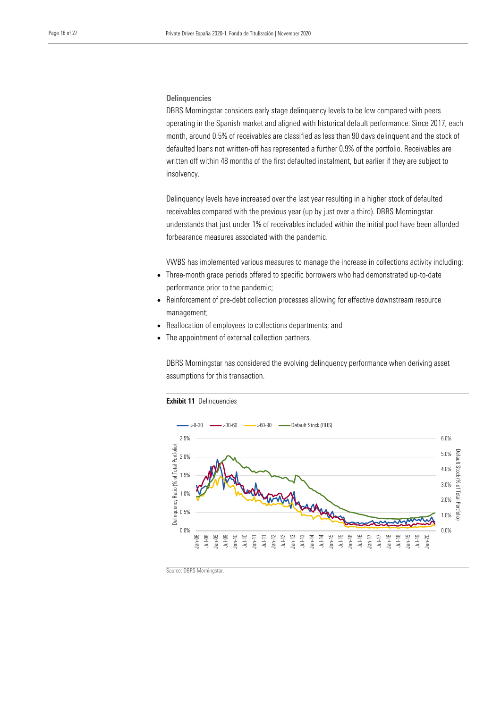#### **Delinquencies**

DBRS Morningstar considers early stage delinquency levels to be low compared with peers operating in the Spanish market and aligned with historical default performance. Since 2017, each month, around 0.5% of receivables are classified as less than 90 days delinquent and the stock of defaulted loans not written-off has represented a further 0.9% of the portfolio. Receivables are written off within 48 months of the first defaulted instalment, but earlier if they are subject to insolvency.

Delinquency levels have increased over the last year resulting in a higher stock of defaulted receivables compared with the previous year (up by just over a third). DBRS Morningstar understands that just under 1% of receivables included within the initial pool have been afforded forbearance measures associated with the pandemic.

VWBS has implemented various measures to manage the increase in collections activity including:

- Three-month grace periods offered to specific borrowers who had demonstrated up-to-date performance prior to the pandemic;
- Reinforcement of pre-debt collection processes allowing for effective downstream resource management;
- Reallocation of employees to collections departments; and
- The appointment of external collection partners.

DBRS Morningstar has considered the evolving delinquency performance when deriving asset assumptions for this transaction.



#### Exhibit 11 Delinquencies

Source: DBRS Morningstar.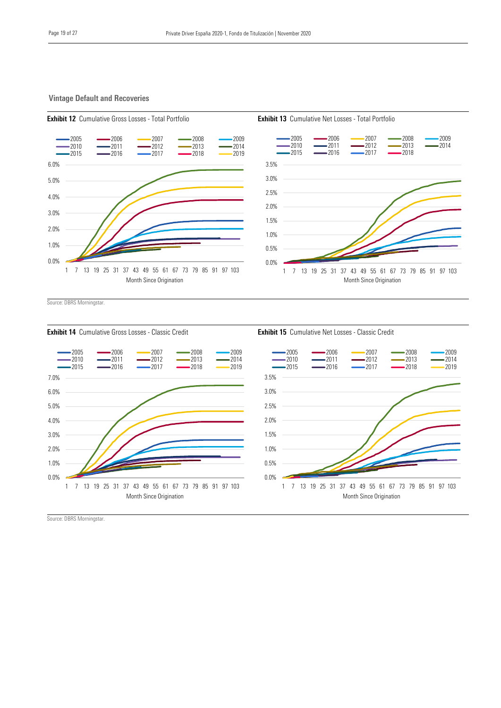#### Vintage Default and Recoveries









Source: DBRS Morningstar.



Source: DBRS Morningstar.

Exhibit 12 Cumulative Gross Losses - Total Portfolio **Exhibit 13** Cumulative Net Losses - Total Portfolio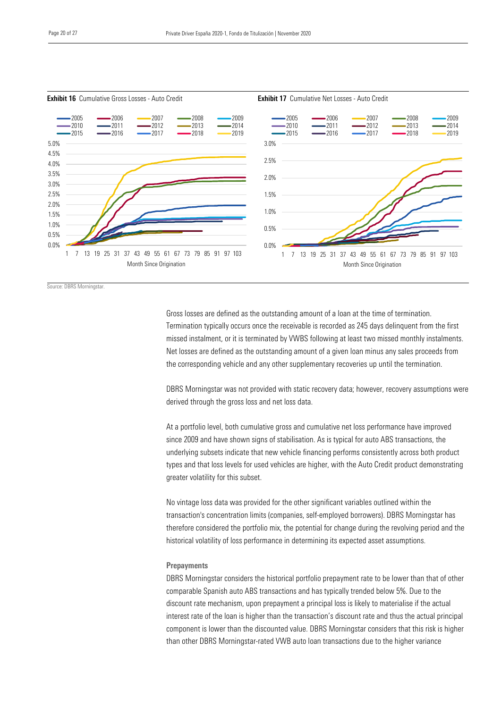

**Exhibit 16** Cumulative Gross Losses - Auto Credit **Exhibit 17** Cumulative Net Losses - Auto Credit

Source: DBRS Morningstar.

Gross losses are defined as the outstanding amount of a loan at the time of termination. Termination typically occurs once the receivable is recorded as 245 days delinquent from the first missed instalment, or it is terminated by VWBS following at least two missed monthly instalments. Net losses are defined as the outstanding amount of a given loan minus any sales proceeds from the corresponding vehicle and any other supplementary recoveries up until the termination.

DBRS Morningstar was not provided with static recovery data; however, recovery assumptions were derived through the gross loss and net loss data.

At a portfolio level, both cumulative gross and cumulative net loss performance have improved since 2009 and have shown signs of stabilisation. As is typical for auto ABS transactions, the underlying subsets indicate that new vehicle financing performs consistently across both product types and that loss levels for used vehicles are higher, with the Auto Credit product demonstrating greater volatility for this subset.

No vintage loss data was provided for the other significant variables outlined within the transaction's concentration limits (companies, self-employed borrowers). DBRS Morningstar has therefore considered the portfolio mix, the potential for change during the revolving period and the historical volatility of loss performance in determining its expected asset assumptions.

#### **Prepayments**

DBRS Morningstar considers the historical portfolio prepayment rate to be lower than that of other comparable Spanish auto ABS transactions and has typically trended below 5%. Due to the discount rate mechanism, upon prepayment a principal loss is likely to materialise if the actual interest rate of the loan is higher than the transaction's discount rate and thus the actual principal component is lower than the discounted value. DBRS Morningstar considers that this risk is higher than other DBRS Morningstar-rated VWB auto loan transactions due to the higher variance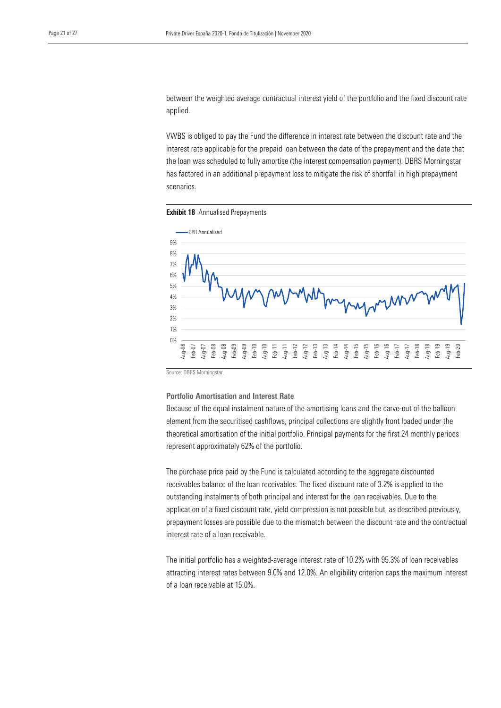between the weighted average contractual interest yield of the portfolio and the fixed discount rate applied.

VWBS is obliged to pay the Fund the difference in interest rate between the discount rate and the interest rate applicable for the prepaid loan between the date of the prepayment and the date that the loan was scheduled to fully amortise (the interest compensation payment). DBRS Morningstar has factored in an additional prepayment loss to mitigate the risk of shortfall in high prepayment scenarios.

**Exhibit 18** Annualised Prepayments



Source: DBRS Morningstar.

Portfolio Amortisation and Interest Rate

Because of the equal instalment nature of the amortising loans and the carve-out of the balloon element from the securitised cashflows, principal collections are slightly front loaded under the theoretical amortisation of the initial portfolio. Principal payments for the first 24 monthly periods represent approximately 62% of the portfolio.

The purchase price paid by the Fund is calculated according to the aggregate discounted receivables balance of the loan receivables. The fixed discount rate of 3.2% is applied to the outstanding instalments of both principal and interest for the loan receivables. Due to the application of a fixed discount rate, yield compression is not possible but, as described previously, prepayment losses are possible due to the mismatch between the discount rate and the contractual interest rate of a loan receivable.

The initial portfolio has a weighted-average interest rate of 10.2% with 95.3% of loan receivables attracting interest rates between 9.0% and 12.0%. An eligibility criterion caps the maximum interest of a loan receivable at 15.0%.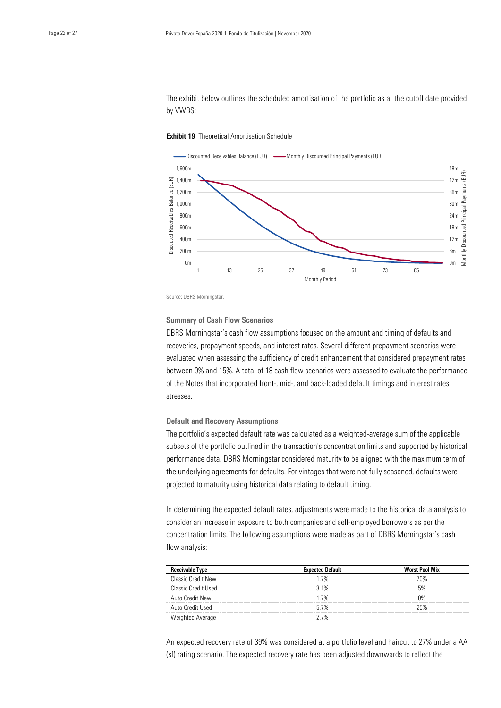The exhibit below outlines the scheduled amortisation of the portfolio as at the cutoff date provided by VWBS:





Source: DBRS Morningstar.

#### Summary of Cash Flow Scenarios

DBRS Morningstar's cash flow assumptions focused on the amount and timing of defaults and recoveries, prepayment speeds, and interest rates. Several different prepayment scenarios were evaluated when assessing the sufficiency of credit enhancement that considered prepayment rates between 0% and 15%. A total of 18 cash flow scenarios were assessed to evaluate the performance of the Notes that incorporated front-, mid-, and back-loaded default timings and interest rates stresses.

#### Default and Recovery Assumptions

The portfolio's expected default rate was calculated as a weighted-average sum of the applicable subsets of the portfolio outlined in the transaction's concentration limits and supported by historical performance data. DBRS Morningstar considered maturity to be aligned with the maximum term of the underlying agreements for defaults. For vintages that were not fully seasoned, defaults were projected to maturity using historical data relating to default timing.

In determining the expected default rates, adjustments were made to the historical data analysis to consider an increase in exposure to both companies and self-employed borrowers as per the concentration limits. The following assumptions were made as part of DBRS Morningstar's cash flow analysis:

| Receivable Type           | <b>Expected Default</b> | <b>Worst Pool Mix</b> |
|---------------------------|-------------------------|-----------------------|
| <b>Classic Credit New</b> | 1 7%                    | ነበ%                   |
| Classic Credit Used       | 31%                     |                       |
| Auto Credit New           | l 7%                    | ገ%                    |
| Auto Credit Used          | 5.7%                    | ハツ                    |
|                           | -704                    |                       |

An expected recovery rate of 39% was considered at a portfolio level and haircut to 27% under a AA (sf) rating scenario. The expected recovery rate has been adjusted downwards to reflect the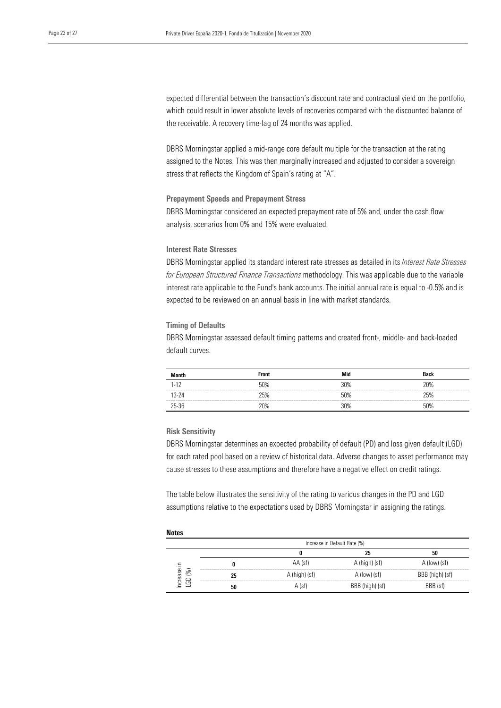expected differential between the transaction's discount rate and contractual yield on the portfolio, which could result in lower absolute levels of recoveries compared with the discounted balance of the receivable. A recovery time-lag of 24 months was applied.

DBRS Morningstar applied a mid-range core default multiple for the transaction at the rating assigned to the Notes. This was then marginally increased and adjusted to consider a sovereign stress that reflects the Kingdom of Spain's rating at "A".

#### Prepayment Speeds and Prepayment Stress

DBRS Morningstar considered an expected prepayment rate of 5% and, under the cash flow analysis, scenarios from 0% and 15% were evaluated.

#### Interest Rate Stresses

DBRS Morningstar applied its standard interest rate stresses as detailed in its *Interest Rate Stresses for European Structured Finance Transactions* methodology. This was applicable due to the variable interest rate applicable to the Fund's bank accounts. The initial annual rate is equal to -0.5% and is expected to be reviewed on an annual basis in line with market standards.

#### Timing of Defaults

DBRS Morningstar assessed default timing patterns and created front-, middle- and back-loaded default curves.

|  |            | Front | Mid | <b>Back</b> |
|--|------------|-------|-----|-------------|
|  | $-1^\circ$ | 50%   | 30% | ንበ%         |
|  |            | '5%   | 50% | 5%          |
|  |            |       | የሀል | ናበ%         |

#### Risk Sensitivity

DBRS Morningstar determines an expected probability of default (PD) and loss given default (LGD) for each rated pool based on a review of historical data. Adverse changes to asset performance may cause stresses to these assumptions and therefore have a negative effect on credit ratings.

The table below illustrates the sensitivity of the rating to various changes in the PD and LGD assumptions relative to the expectations used by DBRS Morningstar in assigning the ratings.

#### **Notes**

|                                  |    | Increase in Default Rate (%) |                 |                 |
|----------------------------------|----|------------------------------|-----------------|-----------------|
|                                  |    |                              | 25              | 50              |
|                                  |    | AA (sf)                      | A (high) (sf)   | A (low) (sf)    |
| rease<br>$\frac{8}{6}$<br>$\Box$ | 25 | A (high) (sf)                | A (low) (sf)    | BBB (high) (sf) |
| ප<br>$\bf{ \underline{ } }$      | 50 | A (sfl                       | BBB (high) (sf) | BB (sf)،        |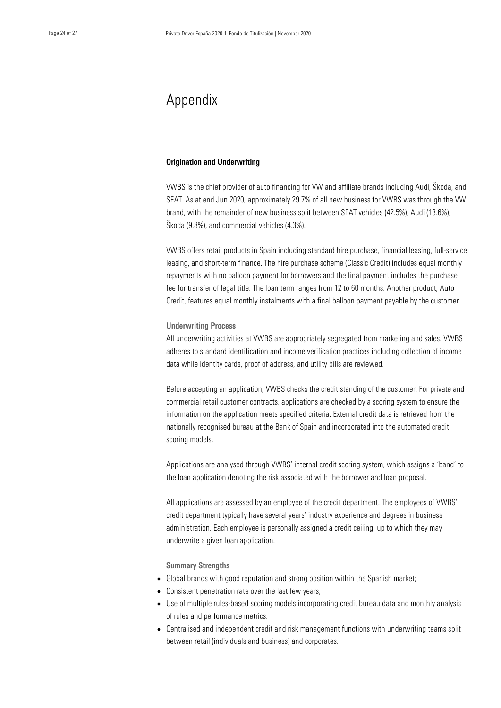## Appendix

#### Origination and Underwriting

VWBS is the chief provider of auto financing for VW and affiliate brands including Audi, Škoda, and SEAT. As at end Jun 2020, approximately 29.7% of all new business for VWBS was through the VW brand, with the remainder of new business split between SEAT vehicles (42.5%), Audi (13.6%), Škoda (9.8%), and commercial vehicles (4.3%).

VWBS offers retail products in Spain including standard hire purchase, financial leasing, full-service leasing, and short-term finance. The hire purchase scheme (Classic Credit) includes equal monthly repayments with no balloon payment for borrowers and the final payment includes the purchase fee for transfer of legal title. The loan term ranges from 12 to 60 months. Another product, Auto Credit, features equal monthly instalments with a final balloon payment payable by the customer.

#### Underwriting Process

All underwriting activities at VWBS are appropriately segregated from marketing and sales. VWBS adheres to standard identification and income verification practices including collection of income data while identity cards, proof of address, and utility bills are reviewed.

Before accepting an application, VWBS checks the credit standing of the customer. For private and commercial retail customer contracts, applications are checked by a scoring system to ensure the information on the application meets specified criteria. External credit data is retrieved from the nationally recognised bureau at the Bank of Spain and incorporated into the automated credit scoring models.

Applications are analysed through VWBS' internal credit scoring system, which assigns a 'band' to the loan application denoting the risk associated with the borrower and loan proposal.

All applications are assessed by an employee of the credit department. The employees of VWBS' credit department typically have several years' industry experience and degrees in business administration. Each employee is personally assigned a credit ceiling, up to which they may underwrite a given loan application.

#### Summary Strengths

- Global brands with good reputation and strong position within the Spanish market;
- Consistent penetration rate over the last few years;
- Use of multiple rules-based scoring models incorporating credit bureau data and monthly analysis of rules and performance metrics.
- Centralised and independent credit and risk management functions with underwriting teams split between retail (individuals and business) and corporates.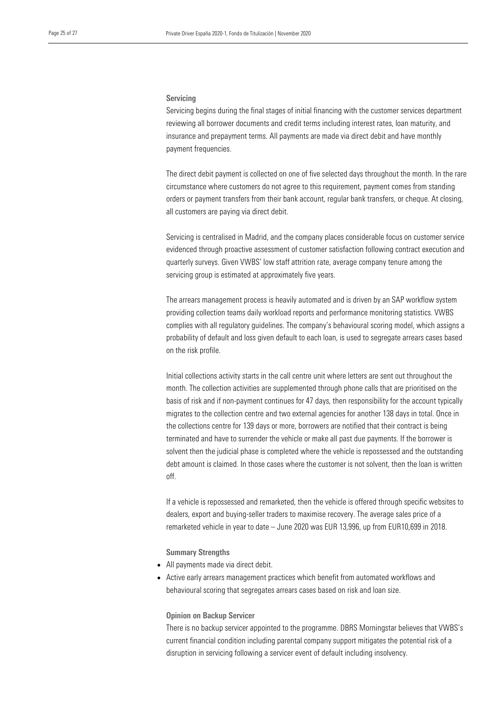#### Servicing

Servicing begins during the final stages of initial financing with the customer services department reviewing all borrower documents and credit terms including interest rates, loan maturity, and insurance and prepayment terms. All payments are made via direct debit and have monthly payment frequencies.

The direct debit payment is collected on one of five selected days throughout the month. In the rare circumstance where customers do not agree to this requirement, payment comes from standing orders or payment transfers from their bank account, regular bank transfers, or cheque. At closing, all customers are paying via direct debit.

Servicing is centralised in Madrid, and the company places considerable focus on customer service evidenced through proactive assessment of customer satisfaction following contract execution and quarterly surveys. Given VWBS' low staff attrition rate, average company tenure among the servicing group is estimated at approximately five years.

The arrears management process is heavily automated and is driven by an SAP workflow system providing collection teams daily workload reports and performance monitoring statistics. VWBS complies with all regulatory guidelines. The company's behavioural scoring model, which assigns a probability of default and loss given default to each loan, is used to segregate arrears cases based on the risk profile.

Initial collections activity starts in the call centre unit where letters are sent out throughout the month. The collection activities are supplemented through phone calls that are prioritised on the basis of risk and if non-payment continues for 47 days, then responsibility for the account typically migrates to the collection centre and two external agencies for another 138 days in total. Once in the collections centre for 139 days or more, borrowers are notified that their contract is being terminated and have to surrender the vehicle or make all past due payments. If the borrower is solvent then the judicial phase is completed where the vehicle is repossessed and the outstanding debt amount is claimed. In those cases where the customer is not solvent, then the loan is written off.

If a vehicle is repossessed and remarketed, then the vehicle is offered through specific websites to dealers, export and buying-seller traders to maximise recovery. The average sales price of a remarketed vehicle in year to date – June 2020 was EUR 13,996, up from EUR10,699 in 2018.

Summary Strengths

- All payments made via direct debit.
- Active early arrears management practices which benefit from automated workflows and behavioural scoring that segregates arrears cases based on risk and loan size.

#### Opinion on Backup Servicer

There is no backup servicer appointed to the programme. DBRS Morningstar believes that VWBS's current financial condition including parental company support mitigates the potential risk of a disruption in servicing following a servicer event of default including insolvency.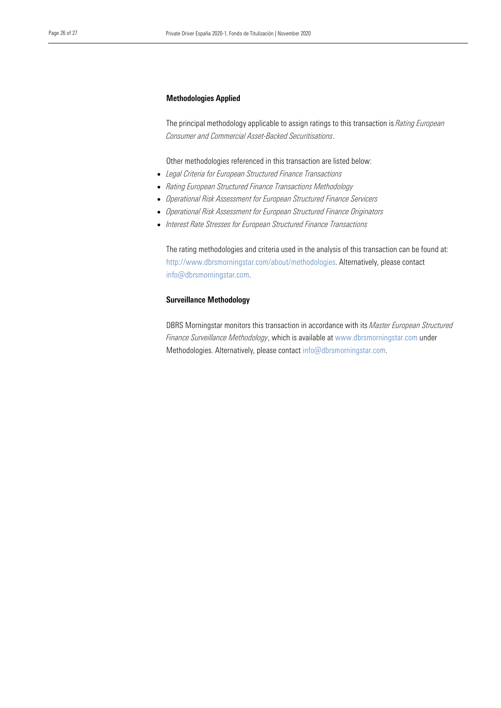#### Methodologies Applied

The principal methodology applicable to assign ratings to this transaction is *Rating European Consumer and Commercial Asset-Backed Securitisations*.

Other methodologies referenced in this transaction are listed below:

- *Legal Criteria for European Structured Finance Transactions*
- *Rating European Structured Finance Transactions Methodology*
- *Operational Risk Assessment for European Structured Finance Servicers*
- *Operational Risk Assessment for European Structured Finance Originators*
- *Interest Rate Stresses for European Structured Finance Transactions*

The rating methodologies and criteria used in the analysis of this transaction can be found at: http://www.dbrsmorningstar.com/about/methodologies. Alternatively, please contact info@dbrsmorningstar.com.

#### Surveillance Methodology

DBRS Morningstar monitors this transaction in accordance with its *Master European Structured Finance Surveillance Methodology*, which is available at www.dbrsmorningstar.com under Methodologies. Alternatively, please contact [info@dbrsmorningstar.com.](mailto:info@dbrsmorningstar.com)